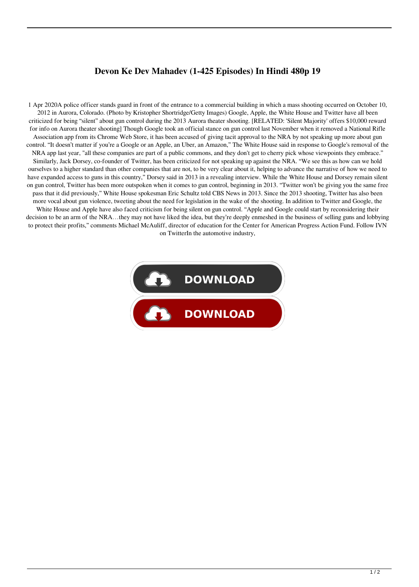## **Devon Ke Dev Mahadev (1-425 Episodes) In Hindi 480p 19**

1 Apr 2020A police officer stands guard in front of the entrance to a commercial building in which a mass shooting occurred on October 10, 2012 in Aurora, Colorado. (Photo by Kristopher Shortridge/Getty Images) Google, Apple, the White House and Twitter have all been criticized for being "silent" about gun control during the 2013 Aurora theater shooting. [RELATED: 'Silent Majority' offers \$10,000 reward for info on Aurora theater shooting] Though Google took an official stance on gun control last November when it removed a National Rifle Association app from its Chrome Web Store, it has been accused of giving tacit approval to the NRA by not speaking up more about gun control. "It doesn't matter if you're a Google or an Apple, an Uber, an Amazon," The White House said in response to Google's removal of the NRA app last year, "all these companies are part of a public commons, and they don't get to cherry pick whose viewpoints they embrace." Similarly, Jack Dorsey, co-founder of Twitter, has been criticized for not speaking up against the NRA. "We see this as how can we hold ourselves to a higher standard than other companies that are not, to be very clear about it, helping to advance the narrative of how we need to have expanded access to guns in this country," Dorsey said in 2013 in a revealing interview. While the White House and Dorsey remain silent on gun control, Twitter has been more outspoken when it comes to gun control, beginning in 2013. "Twitter won't be giving you the same free pass that it did previously," White House spokesman Eric Schultz told CBS News in 2013. Since the 2013 shooting, Twitter has also been more vocal about gun violence, tweeting about the need for legislation in the wake of the shooting. In addition to Twitter and Google, the White House and Apple have also faced criticism for being silent on gun control. "Apple and Google could start by reconsidering their decision to be an arm of the NRA…they may not have liked the idea, but they're deeply enmeshed in the business of selling guns and lobbying to protect their profits," comments Michael McAuliff, director of education for the Center for American Progress Action Fund. Follow IVN on TwitterIn the automotive industry,